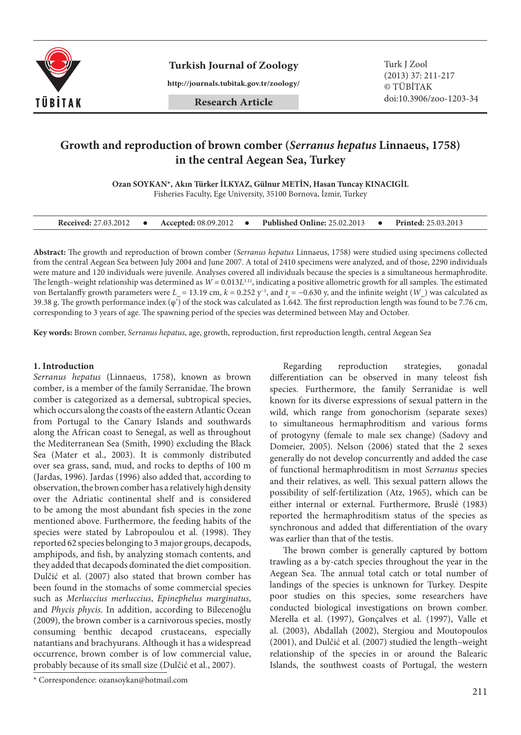

**Turkish Journal of Zoology** Turk J Zool

**http://journals.tubitak.gov.tr/zoology/**

# **Growth and reproduction of brown comber (***Serranus hepatus* **Linnaeus, 1758) in the central Aegean Sea, Turkey**

**Ozan SOYKAN\*, Akın Türker İLKYAZ, Gülnur METİN, Hasan Tuncay KINACIGİL**

Fisheries Faculty, Ege University, 35100 Bornova, İzmir, Turkey

| <b>Received: 27.03.2012</b> |  | <b>Accepted:</b> 08.09.2012 |  | <b>Published Online: 25.02.2013</b> |  | <b>Printed:</b> 25.03.2013 |
|-----------------------------|--|-----------------------------|--|-------------------------------------|--|----------------------------|
|-----------------------------|--|-----------------------------|--|-------------------------------------|--|----------------------------|

**Abstract:** The growth and reproduction of brown comber (*Serranus hepatus* Linnaeus, 1758) were studied using specimens collected from the central Aegean Sea between July 2004 and June 2007. A total of 2410 specimens were analyzed, and of those, 2290 individuals were mature and 120 individuals were juvenile. Analyses covered all individuals because the species is a simultaneous hermaphrodite. The length–weight relationship was determined as  $W = 0.013L^{3.11}$ , indicating a positive allometric growth for all samples. The estimated von Bertalanffy growth parameters were *L<sub>∞</sub>* = 13.19 cm, *k* = 0.252 y<sup>-1</sup>, and *t<sub>0</sub>* = −0.630 y, and the infinite weight (*W<sub>∞</sub>*) was calculated as 39.38 g. The growth performance index  $(\varphi')$  of the stock was calculated as 1.642. The first reproduction length was found to be 7.76 cm, corresponding to 3 years of age. The spawning period of the species was determined between May and October.

**Key words:** Brown comber, *Serranus hepatus*, age, growth, reproduction, first reproduction length, central Aegean Sea

# **1. Introduction**

*Serranus hepatus* (Linnaeus, 1758), known as brown comber, is a member of the family Serranidae. The brown comber is categorized as a demersal, subtropical species, which occurs along the coasts of the eastern Atlantic Ocean from Portugal to the Canary Islands and southwards along the African coast to Senegal, as well as throughout the Mediterranean Sea (Smith, 1990) excluding the Black Sea (Mater et al., 2003). It is commonly distributed over sea grass, sand, mud, and rocks to depths of 100 m (Jardas, 1996). Jardas (1996) also added that, according to observation, the brown comber has a relatively high density over the Adriatic continental shelf and is considered to be among the most abundant fish species in the zone mentioned above. Furthermore, the feeding habits of the species were stated by Labropoulou et al. (1998). They reported 62 species belonging to 3 major groups, decapods, amphipods, and fish, by analyzing stomach contents, and they added that decapods dominated the diet composition. Dulčić et al. (2007) also stated that brown comber has been found in the stomachs of some commercial species such as *Merluccius merluccius*, *Epinephelus marginatus*, and *Phycis phycis*. In addition, according to Bilecenoğlu (2009), the brown comber is a carnivorous species, mostly consuming benthic decapod crustaceans, especially natantians and brachyurans. Although it has a widespread occurrence, brown comber is of low commercial value, probably because of its small size (Dulčić et al., 2007).

Regarding reproduction strategies, gonadal differentiation can be observed in many teleost fish species. Furthermore, the family Serranidae is well known for its diverse expressions of sexual pattern in the wild, which range from gonochorism (separate sexes) to simultaneous hermaphroditism and various forms of protogyny (female to male sex change) (Sadovy and Domeier, 2005). Nelson (2006) stated that the 2 sexes generally do not develop concurrently and added the case of functional hermaphroditism in most *Serranus* species and their relatives, as well. This sexual pattern allows the possibility of self-fertilization (Atz, 1965), which can be either internal or external. Furthermore, Bruslé (1983) reported the hermaphroditism status of the species as synchronous and added that differentiation of the ovary was earlier than that of the testis.

The brown comber is generally captured by bottom trawling as a by-catch species throughout the year in the Aegean Sea. The annual total catch or total number of landings of the species is unknown for Turkey. Despite poor studies on this species, some researchers have conducted biological investigations on brown comber. Merella et al. (1997), Gonçalves et al. (1997), Valle et al. (2003), Abdallah (2002), Stergiou and Moutopoulos (2001), and Dulčić et al. (2007) studied the length–weight relationship of the species in or around the Balearic Islands, the southwest coasts of Portugal, the western

<sup>\*</sup> Correspondence: ozansoykan@hotmail.com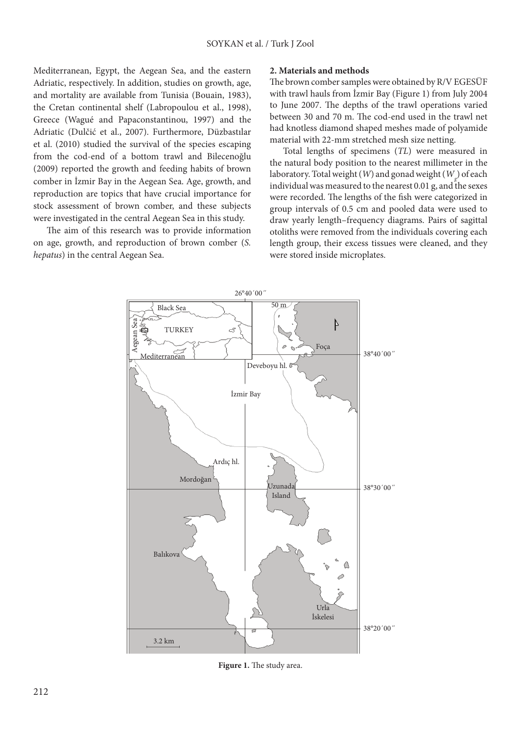Mediterranean, Egypt, the Aegean Sea, and the eastern Adriatic, respectively. In addition, studies on growth, age, and mortality are available from Tunisia (Bouain, 1983), the Cretan continental shelf (Labropoulou et al., 1998), Greece (Wagué and Papaconstantinou, 1997) and the Adriatic (Dulčić et al., 2007). Furthermore, Düzbastılar et al. (2010) studied the survival of the species escaping from the cod-end of a bottom trawl and Bilecenoğlu (2009) reported the growth and feeding habits of brown comber in İzmir Bay in the Aegean Sea. Age, growth, and reproduction are topics that have crucial importance for stock assessment of brown comber, and these subjects were investigated in the central Aegean Sea in this study.

The aim of this research was to provide information on age, growth, and reproduction of brown comber (*S. hepatus*) in the central Aegean Sea.

## **2. Materials and methods**

The brown comber samples were obtained by R/V EGESÜF with trawl hauls from İzmir Bay (Figure 1) from July 2004 to June 2007. The depths of the trawl operations varied between 30 and 70 m. The cod-end used in the trawl net had knotless diamond shaped meshes made of polyamide material with 22-mm stretched mesh size netting.

Total lengths of specimens (*TL*) were measured in the natural body position to the nearest millimeter in the laboratory. Total weight (*W*) and gonad weight (*Wg* ) of each individual was measured to the nearest  $0.01$  g, and the sexes were recorded. The lengths of the fish were categorized in group intervals of 0.5 cm and pooled data were used to draw yearly length–frequency diagrams. Pairs of sagittal otoliths were removed from the individuals covering each length group, their excess tissues were cleaned, and they were stored inside microplates.



**Figure 1.** The study area.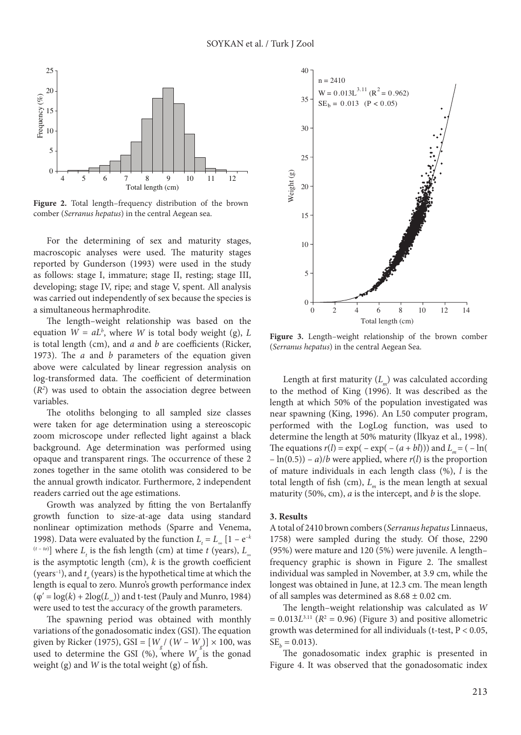

**Figure 2.** Total length–frequency distribution of the brown comber (*Serranus hepatus*) in the central Aegean sea.

For the determining of sex and maturity stages, macroscopic analyses were used. The maturity stages reported by Gunderson (1993) were used in the study as follows: stage I, immature; stage II, resting; stage III, developing; stage IV, ripe; and stage V, spent. All analysis was carried out independently of sex because the species is a simultaneous hermaphrodite.

The length–weight relationship was based on the equation  $W = aL^b$ , where  $W$  is total body weight (g),  $L$ is total length (cm), and *a* and *b* are coefficients (Ricker, 1973). The *a* and *b* parameters of the equation given above were calculated by linear regression analysis on log-transformed data. The coefficient of determination (*R2* ) was used to obtain the association degree between variables.

The otoliths belonging to all sampled size classes were taken for age determination using a stereoscopic zoom microscope under reflected light against a black background. Age determination was performed using opaque and transparent rings. The occurrence of these 2 zones together in the same otolith was considered to be the annual growth indicator. Furthermore, 2 independent readers carried out the age estimations.

Growth was analyzed by fitting the von Bertalanffy growth function to size-at-age data using standard nonlinear optimization methods (Sparre and Venema, 1998). Data were evaluated by the function  $L<sub>t</sub> = L<sub>∞</sub> [1 - e<sup>-k</sup>]$  $(L - t_0)$  where  $L_t$  is the fish length (cm) at time *t* (years),  $L_{\infty}$ is the asymptotic length (cm), *k* is the growth coefficient (years<sup>-1</sup>), and  $t_o$  (years) is the hypothetical time at which the length is equal to zero. Munro's growth performance index  $(\varphi' = \log(k) + 2\log(L_o))$  and t-test (Pauly and Munro, 1984) were used to test the accuracy of the growth parameters.

The spawning period was obtained with monthly variations of the gonadosomatic index (GSI). The equation given by Ricker (1975), GSI = [*Wg* / (*W* – *Wg* )] × 100, was used to determine the GSI  $(\%)$ , where  $W_g$  is the gonad weight (g) and *W* is the total weight (g) of fish.



**Figure 3.** Length–weight relationship of the brown comber (*Serranus hepatus*) in the central Aegean Sea.

Length at first maturity (*Lm*) was calculated according to the method of King (1996). It was described as the length at which 50% of the population investigated was near spawning (King, 1996). An L50 computer program, performed with the LogLog function, was used to determine the length at 50% maturity (İlkyaz et al., 1998). The equations  $r(l) = \exp(-\exp(-(a+bl)))$  and  $L_m = (-\ln(\frac{1}{2}a^2))$  $-\ln(0.5)$ ) – *a*)/*b* were applied, where *r*(*l*) is the proportion of mature individuals in each length class (%), *l* is the total length of fish (cm),  $L_m$  is the mean length at sexual maturity (50%, cm), *a* is the intercept, and *b* is the slope.

#### **3. Results**

A total of 2410 brown combers (*Serranus hepatus* Linnaeus, 1758) were sampled during the study. Of those, 2290 (95%) were mature and 120 (5%) were juvenile. A length– frequency graphic is shown in Figure 2. The smallest individual was sampled in November, at 3.9 cm, while the longest was obtained in June, at 12.3 cm. The mean length of all samples was determined as  $8.68 \pm 0.02$  cm.

The length–weight relationship was calculated as *W*   $= 0.013L^{3.11}$  ( $R^2 = 0.96$ ) (Figure 3) and positive allometric growth was determined for all individuals (t-test, P < 0.05,  $SE<sub>b</sub> = 0.013$ .

The gonadosomatic index graphic is presented in Figure 4. It was observed that the gonadosomatic index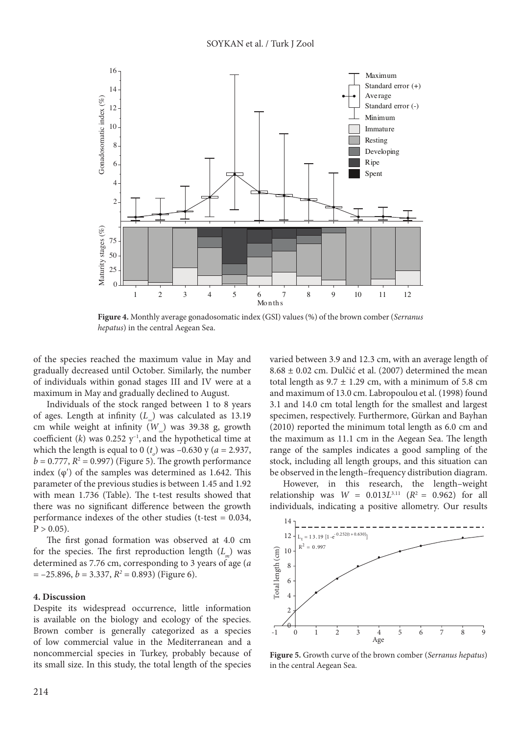

**Figure 4.** Monthly average gonadosomatic index (GSI) values (%) of the brown comber (*Serranus hepatus*) in the central Aegean Sea.

of the species reached the maximum value in May and gradually decreased until October. Similarly, the number of individuals within gonad stages III and IV were at a maximum in May and gradually declined to August.

Individuals of the stock ranged between 1 to 8 years of ages. Length at infinity (*L∞*) was calculated as 13.19 cm while weight at infinity (*W∞*) was 39.38 g, growth coefficient  $(k)$  was 0.252  $y^{-1}$ , and the hypothetical time at which the length is equal to 0  $(t_o)$  was  $-0.630$  y ( $a = 2.937$ ,  $b = 0.777$ ,  $R<sup>2</sup> = 0.997$ ) (Figure 5). The growth performance index  $(\varphi')$  of the samples was determined as 1.642. This parameter of the previous studies is between 1.45 and 1.92 with mean 1.736 (Table). The t-test results showed that there was no significant difference between the growth performance indexes of the other studies (t-test = 0.034,  $P > 0.05$ ).

The first gonad formation was observed at 4.0 cm for the species. The first reproduction length (*L<sub>m</sub>*) was determined as 7.76 cm, corresponding to 3 years of age (*a*   $= -25.896, b = 3.337, R<sup>2</sup> = 0.893$  (Figure 6).

## **4. Discussion**

Despite its widespread occurrence, little information is available on the biology and ecology of the species. Brown comber is generally categorized as a species of low commercial value in the Mediterranean and a noncommercial species in Turkey, probably because of its small size. In this study, the total length of the species varied between 3.9 and 12.3 cm, with an average length of 8.68 ± 0.02 cm. Dulčić et al. (2007) determined the mean total length as  $9.7 \pm 1.29$  cm, with a minimum of 5.8 cm and maximum of 13.0 cm. Labropoulou et al. (1998) found 3.1 and 14.0 cm total length for the smallest and largest specimen, respectively. Furthermore, Gürkan and Bayhan (2010) reported the minimum total length as 6.0 cm and the maximum as 11.1 cm in the Aegean Sea. The length range of the samples indicates a good sampling of the stock, including all length groups, and this situation can be observed in the length–frequency distribution diagram.

However, in this research, the length–weight relationship was  $W = 0.013L^{3.11}$  ( $R^2 = 0.962$ ) for all individuals, indicating a positive allometry. Our results



**Figure 5.** Growth curve of the brown comber (*Serranus hepatus*) in the central Aegean Sea.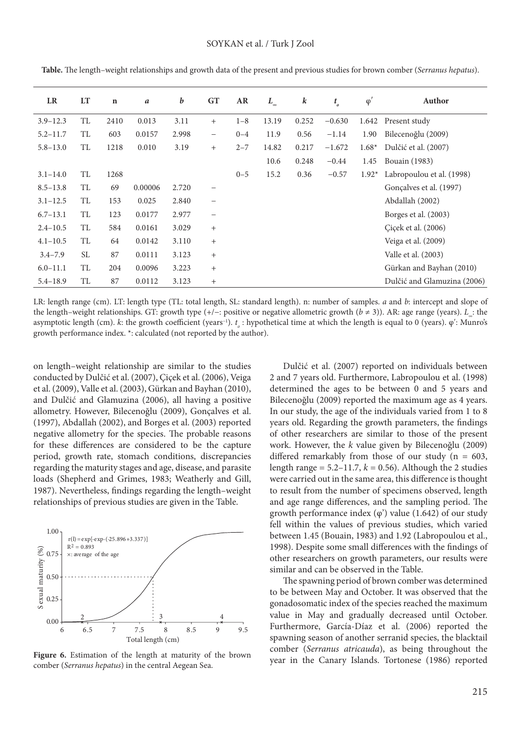| LR           | LT        | $\mathbf n$ | $\boldsymbol{a}$ | b     | <b>GT</b>                | AR      | $L_{\scriptscriptstyle{\infty}}$ | k     | $t_{\circ}$ | $\varphi'$ | Author                      |
|--------------|-----------|-------------|------------------|-------|--------------------------|---------|----------------------------------|-------|-------------|------------|-----------------------------|
| $3.9 - 12.3$ | <b>TL</b> | 2410        | 0.013            | 3.11  | $+$                      | $1 - 8$ | 13.19                            | 0.252 | $-0.630$    |            | 1.642 Present study         |
| $5.2 - 11.7$ | TL        | 603         | 0.0157           | 2.998 | $\overline{\phantom{0}}$ | $0 - 4$ | 11.9                             | 0.56  | $-1.14$     | 1.90       | Bilecenoğlu (2009)          |
| $5.8 - 13.0$ | TL        | 1218        | 0.010            | 3.19  | $^{+}$                   | $2 - 7$ | 14.82                            | 0.217 | $-1.672$    | $1.68*$    | Dulčić et al. (2007)        |
|              |           |             |                  |       |                          |         | 10.6                             | 0.248 | $-0.44$     | 1.45       | Bouain (1983)               |
| $3.1 - 14.0$ | TL        | 1268        |                  |       |                          | $0 - 5$ | 15.2                             | 0.36  | $-0.57$     | $1.92*$    | Labropoulou et al. (1998)   |
| $8.5 - 13.8$ | TL        | 69          | 0.00006          | 2.720 | -                        |         |                                  |       |             |            | Gonçalves et al. (1997)     |
| $3.1 - 12.5$ | TL        | 153         | 0.025            | 2.840 | $\overline{\phantom{0}}$ |         |                                  |       |             |            | Abdallah (2002)             |
| $6.7 - 13.1$ | TL        | 123         | 0.0177           | 2.977 |                          |         |                                  |       |             |            | Borges et al. (2003)        |
| $2.4 - 10.5$ | <b>TL</b> | 584         | 0.0161           | 3.029 | $^{+}$                   |         |                                  |       |             |            | Çiçek et al. (2006)         |
| $4.1 - 10.5$ | TL        | 64          | 0.0142           | 3.110 | $^{+}$                   |         |                                  |       |             |            | Veiga et al. (2009)         |
| $3.4 - 7.9$  | SL        | 87          | 0.0111           | 3.123 | $^{+}$                   |         |                                  |       |             |            | Valle et al. (2003)         |
| $6.0 - 11.1$ | TL        | 204         | 0.0096           | 3.223 | $^{+}$                   |         |                                  |       |             |            | Gürkan and Bayhan (2010)    |
| $5.4 - 18.9$ | <b>TL</b> | 87          | 0.0112           | 3.123 | $^{+}$                   |         |                                  |       |             |            | Dulčić and Glamuzina (2006) |

**Table.** The length–weight relationships and growth data of the present and previous studies for brown comber (*Serranus hepatus*).

LR: length range (cm). LT: length type (TL: total length, SL: standard length). n: number of samples. *a* and *b*: intercept and slope of the length–weight relationships. GT: growth type (+/−: positive or negative allometric growth (*b* ≠ 3)). AR: age range (years). *L∞*: the asymptotic length (cm). *k*: the growth coefficient (years<sup>-1</sup>). *t<sub>o</sub>*: hypothetical time at which the length is equal to 0 (years).  $\varphi'$ : Munro's growth performance index. \*: calculated (not reported by the author).

on length–weight relationship are similar to the studies conducted by Dulčić et al. (2007), Çiçek et al. (2006), Veiga et al. (2009), Valle et al. (2003), Gürkan and Bayhan (2010), and Dulčić and Glamuzina (2006), all having a positive allometry. However, Bilecenoğlu (2009), Gonçalves et al. (1997), Abdallah (2002), and Borges et al. (2003) reported negative allometry for the species. The probable reasons for these differences are considered to be the capture period, growth rate, stomach conditions, discrepancies regarding the maturity stages and age, disease, and parasite loads (Shepherd and Grimes, 1983; Weatherly and Gill, 1987). Nevertheless, findings regarding the length–weight relationships of previous studies are given in the Table.



**Figure 6.** Estimation of the length at maturity of the brown comber (*Serranus hepatus*) in the central Aegean Sea.

Dulčić et al. (2007) reported on individuals between 2 and 7 years old. Furthermore, Labropoulou et al. (1998) determined the ages to be between 0 and 5 years and Bilecenoğlu (2009) reported the maximum age as 4 years. In our study, the age of the individuals varied from 1 to 8 years old. Regarding the growth parameters, the findings of other researchers are similar to those of the present work. However, the *k* value given by Bilecenoğlu (2009) differed remarkably from those of our study ( $n = 603$ , length range =  $5.2-11.7$ ,  $k = 0.56$ ). Although the 2 studies were carried out in the same area, this difference is thought to result from the number of specimens observed, length and age range differences, and the sampling period. The growth performance index  $(\varphi)$  value (1.642) of our study fell within the values of previous studies, which varied between 1.45 (Bouain, 1983) and 1.92 (Labropoulou et al., 1998). Despite some small differences with the findings of other researchers on growth parameters, our results were similar and can be observed in the Table.

The spawning period of brown comber was determined to be between May and October. It was observed that the gonadosomatic index of the species reached the maximum value in May and gradually decreased until October. Furthermore, García-Díaz et al. (2006) reported the spawning season of another serranid species, the blacktail comber (*Serranus atricauda*), as being throughout the year in the Canary Islands. Tortonese (1986) reported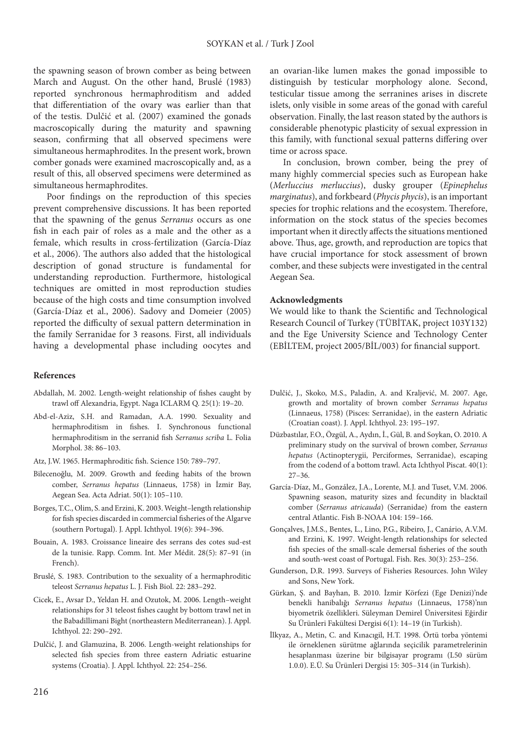the spawning season of brown comber as being between March and August. On the other hand, Bruslé (1983) reported synchronous hermaphroditism and added that differentiation of the ovary was earlier than that of the testis. Dulčić et al. (2007) examined the gonads macroscopically during the maturity and spawning season, confirming that all observed specimens were simultaneous hermaphrodites. In the present work, brown comber gonads were examined macroscopically and, as a result of this, all observed specimens were determined as simultaneous hermaphrodites.

Poor findings on the reproduction of this species prevent comprehensive discussions. It has been reported that the spawning of the genus *Serranus* occurs as one fish in each pair of roles as a male and the other as a female, which results in cross-fertilization (García-Díaz et al., 2006). The authors also added that the histological description of gonad structure is fundamental for understanding reproduction. Furthermore, histological techniques are omitted in most reproduction studies because of the high costs and time consumption involved (García-Díaz et al., 2006). Sadovy and Domeier (2005) reported the difficulty of sexual pattern determination in the family Serranidae for 3 reasons. First, all individuals having a developmental phase including oocytes and

### **References**

- Abdallah, M. 2002. Length-weight relationship of fishes caught by trawl off Alexandria, Egypt. Naga ICLARM Q. 25(1): 19–20.
- Abd-el-Aziz, S.H. and Ramadan, A.A. 1990. Sexuality and hermaphroditism in fishes. I. Synchronous functional hermaphroditism in the serranid fish *Serranus scriba* L. Folia Morphol. 38: 86–103.
- Atz, J.W. 1965. Hermaphroditic fish. Science 150: 789–797.
- Bilecenoğlu, M. 2009. Growth and feeding habits of the brown comber, *Serranus hepatus* (Linnaeus, 1758) in İzmir Bay, Aegean Sea. Acta Adriat. 50(1): 105–110.
- Borges, T.C., Olim, S. and Erzini, K. 2003. Weight–length relationship for fish species discarded in commercial fisheries of the Algarve (southern Portugal). J. Appl. Ichthyol. 19(6): 394–396.
- Bouain, A. 1983. Croissance lineaire des serrans des cotes sud-est de la tunisie. Rapp. Comm. Int. Mer Médit. 28(5): 87–91 (in French).
- Bruslé, S. 1983. Contribution to the sexuality of a hermaphroditic teleost *Serranus hepatus* L. J. Fish Biol. 22: 283–292.
- Cicek, E., Avsar D., Yeldan H. and Ozutok, M. 2006. Length–weight relationships for 31 teleost fishes caught by bottom trawl net in the Babadillimani Bight (northeastern Mediterranean). J. Appl. Ichthyol. 22: 290–292.
- Dulčić, J. and Glamuzina, B. 2006. Length-weight relationships for selected fish species from three eastern Adriatic estuarine systems (Croatia). J. Appl. Ichthyol. 22: 254–256.

an ovarian-like lumen makes the gonad impossible to distinguish by testicular morphology alone. Second, testicular tissue among the serranines arises in discrete islets, only visible in some areas of the gonad with careful observation. Finally, the last reason stated by the authors is considerable phenotypic plasticity of sexual expression in this family, with functional sexual patterns differing over time or across space.

In conclusion, brown comber, being the prey of many highly commercial species such as European hake (*Merluccius merluccius*), dusky grouper (*Epinephelus marginatus*), and forkbeard (*Phycis phycis*), is an important species for trophic relations and the ecosystem. Therefore, information on the stock status of the species becomes important when it directly affects the situations mentioned above. Thus, age, growth, and reproduction are topics that have crucial importance for stock assessment of brown comber, and these subjects were investigated in the central Aegean Sea.

## **Acknowledgments**

We would like to thank the Scientific and Technological Research Council of Turkey (TÜBİTAK, project 103Y132) and the Ege University Science and Technology Center (EBİLTEM, project 2005/BİL/003) for financial support.

- Dulčić, J., Skoko, M.S., Paladin, A. and Kraljević, M. 2007. Age, growth and mortality of brown comber *Serranus hepatus*  (Linnaeus, 1758) (Pisces: Serranidae), in the eastern Adriatic (Croatian coast). J. Appl. Ichthyol. 23: 195–197.
- Düzbastılar, F.O., Özgül, A., Aydın, İ., Gül, B. and Soykan, O. 2010. A preliminary study on the survival of brown comber, *Serranus hepatus* (Actinopterygii, Perciformes, Serranidae), escaping from the codend of a bottom trawl. Acta Ichthyol Piscat. 40(1): 27–36.
- García-Díaz, M., González, J.A., Lorente, M.J. and Tuset, V.M. 2006. Spawning season, maturity sizes and fecundity in blacktail comber (*Serranus atricauda*) (Serranidae) from the eastern central Atlantic. Fish B-NOAA 104: 159–166.
- Gonçalves, J.M.S., Bentes, L., Lino, P.G., Ribeiro, J., Canário, A.V.M. and Erzini, K. 1997. Weight-length relationships for selected fish species of the small-scale demersal fisheries of the south and south-west coast of Portugal. Fish. Res. 30(3): 253–256.
- Gunderson, D.R. 1993. Surveys of Fisheries Resources. John Wiley and Sons, New York.
- Gürkan, Ş. and Bayhan, B. 2010. İzmir Körfezi (Ege Denizi)'nde benekli hanibalığı *Serranus hepatus* (Linnaeus, 1758)'nın biyometrik özellikleri. Süleyman Demirel Üniversitesi Eğirdir Su Ürünleri Fakültesi Dergisi 6(1): 14–19 (in Turkish).
- İlkyaz, A., Metin, C. and Kınacıgil, H.T. 1998. Örtü torba yöntemi ile örneklenen sürütme ağlarında seçicilik parametrelerinin hesaplanması üzerine bir bilgisayar programı (L50 sürüm 1.0.0). E.Ü. Su Ürünleri Dergisi 15: 305–314 (in Turkish).